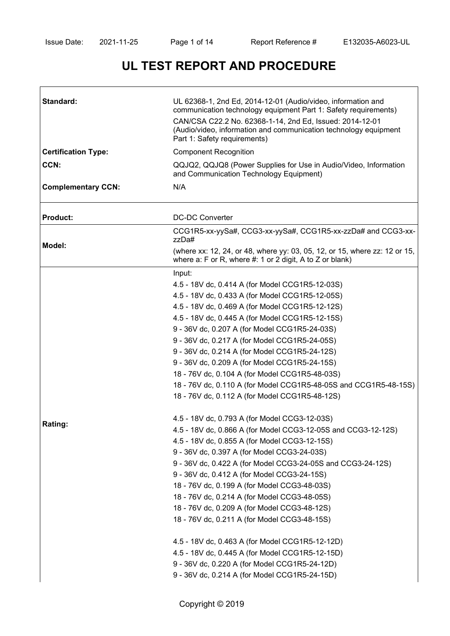# **UL TEST REPORT AND PROCEDURE**

| Standard:                  | UL 62368-1, 2nd Ed, 2014-12-01 (Audio/video, information and<br>communication technology equipment Part 1: Safety requirements)<br>CAN/CSA C22.2 No. 62368-1-14, 2nd Ed, Issued: 2014-12-01<br>(Audio/video, information and communication technology equipment<br>Part 1: Safety requirements)                                                                                                                                                                                                                                                                                                                                                                                                                                                                                                                                                                                                                                                                                                                                                                                                                                                                                                                                                                                                                                        |  |  |
|----------------------------|----------------------------------------------------------------------------------------------------------------------------------------------------------------------------------------------------------------------------------------------------------------------------------------------------------------------------------------------------------------------------------------------------------------------------------------------------------------------------------------------------------------------------------------------------------------------------------------------------------------------------------------------------------------------------------------------------------------------------------------------------------------------------------------------------------------------------------------------------------------------------------------------------------------------------------------------------------------------------------------------------------------------------------------------------------------------------------------------------------------------------------------------------------------------------------------------------------------------------------------------------------------------------------------------------------------------------------------|--|--|
| <b>Certification Type:</b> | <b>Component Recognition</b>                                                                                                                                                                                                                                                                                                                                                                                                                                                                                                                                                                                                                                                                                                                                                                                                                                                                                                                                                                                                                                                                                                                                                                                                                                                                                                           |  |  |
| CCN:                       | QQJQ2, QQJQ8 (Power Supplies for Use in Audio/Video, Information<br>and Communication Technology Equipment)                                                                                                                                                                                                                                                                                                                                                                                                                                                                                                                                                                                                                                                                                                                                                                                                                                                                                                                                                                                                                                                                                                                                                                                                                            |  |  |
| <b>Complementary CCN:</b>  | N/A                                                                                                                                                                                                                                                                                                                                                                                                                                                                                                                                                                                                                                                                                                                                                                                                                                                                                                                                                                                                                                                                                                                                                                                                                                                                                                                                    |  |  |
| <b>Product:</b>            | <b>DC-DC Converter</b>                                                                                                                                                                                                                                                                                                                                                                                                                                                                                                                                                                                                                                                                                                                                                                                                                                                                                                                                                                                                                                                                                                                                                                                                                                                                                                                 |  |  |
| Model:                     | CCG1R5-xx-yySa#, CCG3-xx-yySa#, CCG1R5-xx-zzDa# and CCG3-xx-<br>zzDa#                                                                                                                                                                                                                                                                                                                                                                                                                                                                                                                                                                                                                                                                                                                                                                                                                                                                                                                                                                                                                                                                                                                                                                                                                                                                  |  |  |
|                            | (where xx: 12, 24, or 48, where yy: 03, 05, 12, or 15, where zz: 12 or 15,<br>where a: F or R, where $#$ : 1 or 2 digit, A to Z or blank)                                                                                                                                                                                                                                                                                                                                                                                                                                                                                                                                                                                                                                                                                                                                                                                                                                                                                                                                                                                                                                                                                                                                                                                              |  |  |
| Rating:                    | Input:<br>4.5 - 18V dc, 0.414 A (for Model CCG1R5-12-03S)<br>4.5 - 18V dc, 0.433 A (for Model CCG1R5-12-05S)<br>4.5 - 18V dc, 0.469 A (for Model CCG1R5-12-12S)<br>4.5 - 18V dc, 0.445 A (for Model CCG1R5-12-15S)<br>9 - 36V dc, 0.207 A (for Model CCG1R5-24-03S)<br>9 - 36V dc, 0.217 A (for Model CCG1R5-24-05S)<br>9 - 36V dc, 0.214 A (for Model CCG1R5-24-12S)<br>9 - 36V dc, 0.209 A (for Model CCG1R5-24-15S)<br>18 - 76V dc, 0.104 A (for Model CCG1R5-48-03S)<br>18 - 76V dc, 0.110 A (for Model CCG1R5-48-05S and CCG1R5-48-15S)<br>18 - 76V dc, 0.112 A (for Model CCG1R5-48-12S)<br>4.5 - 18V dc, 0.793 A (for Model CCG3-12-03S)<br>4.5 - 18V dc, 0.866 A (for Model CCG3-12-05S and CCG3-12-12S)<br>4.5 - 18V dc, 0.855 A (for Model CCG3-12-15S)<br>9 - 36V dc, 0.397 A (for Model CCG3-24-03S)<br>9 - 36V dc, 0.422 A (for Model CCG3-24-05S and CCG3-24-12S)<br>9 - 36V dc, 0.412 A (for Model CCG3-24-15S)<br>18 - 76V dc, 0.199 A (for Model CCG3-48-03S)<br>18 - 76V dc, 0.214 A (for Model CCG3-48-05S)<br>18 - 76V dc, 0.209 A (for Model CCG3-48-12S)<br>18 - 76V dc, 0.211 A (for Model CCG3-48-15S)<br>4.5 - 18V dc, 0.463 A (for Model CCG1R5-12-12D)<br>4.5 - 18V dc, 0.445 A (for Model CCG1R5-12-15D)<br>9 - 36V dc, 0.220 A (for Model CCG1R5-24-12D)<br>9 - 36V dc, 0.214 A (for Model CCG1R5-24-15D) |  |  |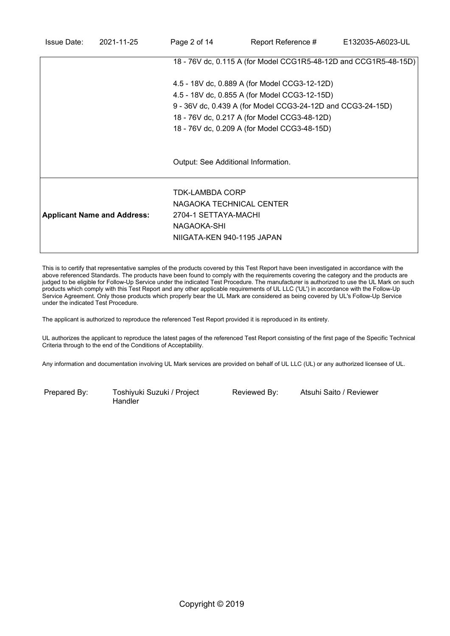| <b>Issue Date:</b> | 2021-11-25                         | Page 2 of 14                                                | Report Reference #                                               | E132035-A6023-UL |
|--------------------|------------------------------------|-------------------------------------------------------------|------------------------------------------------------------------|------------------|
|                    |                                    |                                                             | 18 - 76V dc, 0.115 A (for Model CCG1R5-48-12D and CCG1R5-48-15D) |                  |
|                    |                                    |                                                             | 4.5 - 18V dc, 0.889 A (for Model CCG3-12-12D)                    |                  |
|                    |                                    | 4.5 - 18V dc, 0.855 A (for Model CCG3-12-15D)               |                                                                  |                  |
|                    |                                    | 9 - 36V dc, 0.439 A (for Model CCG3-24-12D and CCG3-24-15D) |                                                                  |                  |
|                    |                                    |                                                             | 18 - 76V dc, 0.217 A (for Model CCG3-48-12D)                     |                  |
|                    |                                    |                                                             | 18 - 76V dc, 0.209 A (for Model CCG3-48-15D)                     |                  |
|                    |                                    |                                                             |                                                                  |                  |
|                    |                                    |                                                             | Output: See Additional Information.                              |                  |
|                    |                                    | TDK-LAMBDA CORP                                             |                                                                  |                  |
|                    |                                    | NAGAOKA TECHNICAL CENTER                                    |                                                                  |                  |
|                    | <b>Applicant Name and Address:</b> | 2704-1 SETTAYA-MACHI                                        |                                                                  |                  |
|                    |                                    | NAGAOKA-SHI                                                 |                                                                  |                  |
|                    |                                    | NIIGATA-KEN 940-1195 JAPAN                                  |                                                                  |                  |
|                    |                                    |                                                             |                                                                  |                  |

This is to certify that representative samples of the products covered by this Test Report have been investigated in accordance with the above referenced Standards. The products have been found to comply with the requirements covering the category and the products are judged to be eligible for Follow-Up Service under the indicated Test Procedure. The manufacturer is authorized to use the UL Mark on such products which comply with this Test Report and any other applicable requirements of UL LLC ('UL') in accordance with the Follow-Up Service Agreement. Only those products which properly bear the UL Mark are considered as being covered by UL's Follow-Up Service under the indicated Test Procedure.

The applicant is authorized to reproduce the referenced Test Report provided it is reproduced in its entirety.

UL authorizes the applicant to reproduce the latest pages of the referenced Test Report consisting of the first page of the Specific Technical Criteria through to the end of the Conditions of Acceptability.

Any information and documentation involving UL Mark services are provided on behalf of UL LLC (UL) or any authorized licensee of UL.

Prepared By: Toshiyuki Suzuki / Project **Handler** 

Reviewed By: Atsuhi Saito / Reviewer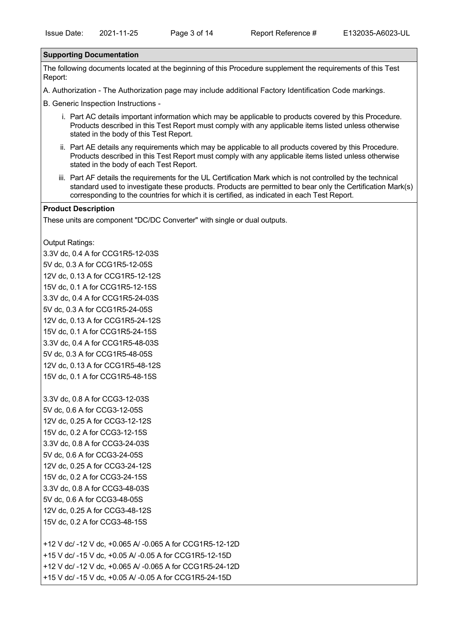#### **Supporting Documentation**

The following documents located at the beginning of this Procedure supplement the requirements of this Test Report:

A. Authorization - The Authorization page may include additional Factory Identification Code markings.

B. Generic Inspection Instructions -

- i. Part AC details important information which may be applicable to products covered by this Procedure. Products described in this Test Report must comply with any applicable items listed unless otherwise stated in the body of this Test Report.
- ii. Part AE details any requirements which may be applicable to all products covered by this Procedure. Products described in this Test Report must comply with any applicable items listed unless otherwise stated in the body of each Test Report.
- iii. Part AF details the requirements for the UL Certification Mark which is not controlled by the technical standard used to investigate these products. Products are permitted to bear only the Certification Mark(s) corresponding to the countries for which it is certified, as indicated in each Test Report.

### **Product Description**

These units are component "DC/DC Converter" with single or dual outputs.

Output Ratings:

3.3V dc, 0.4 A for CCG1R5-12-03S 5V dc, 0.3 A for CCG1R5-12-05S 12V dc, 0.13 A for CCG1R5-12-12S 15V dc, 0.1 A for CCG1R5-12-15S 3.3V dc, 0.4 A for CCG1R5-24-03S 5V dc, 0.3 A for CCG1R5-24-05S 12V dc, 0.13 A for CCG1R5-24-12S 15V dc, 0.1 A for CCG1R5-24-15S 3.3V dc, 0.4 A for CCG1R5-48-03S 5V dc, 0.3 A for CCG1R5-48-05S 12V dc, 0.13 A for CCG1R5-48-12S 15V dc, 0.1 A for CCG1R5-48-15S

3.3V dc, 0.8 A for CCG3-12-03S 5V dc, 0.6 A for CCG3-12-05S 12V dc, 0.25 A for CCG3-12-12S 15V dc, 0.2 A for CCG3-12-15S 3.3V dc, 0.8 A for CCG3-24-03S 5V dc, 0.6 A for CCG3-24-05S 12V dc, 0.25 A for CCG3-24-12S 15V dc, 0.2 A for CCG3-24-15S 3.3V dc, 0.8 A for CCG3-48-03S 5V dc, 0.6 A for CCG3-48-05S 12V dc, 0.25 A for CCG3-48-12S 15V dc, 0.2 A for CCG3-48-15S

+12 V dc/ -12 V dc, +0.065 A/ -0.065 A for CCG1R5-12-12D +15 V dc/ -15 V dc, +0.05 A/ -0.05 A for CCG1R5-12-15D +12 V dc/ -12 V dc, +0.065 A/ -0.065 A for CCG1R5-24-12D +15 V dc/ -15 V dc, +0.05 A/ -0.05 A for CCG1R5-24-15D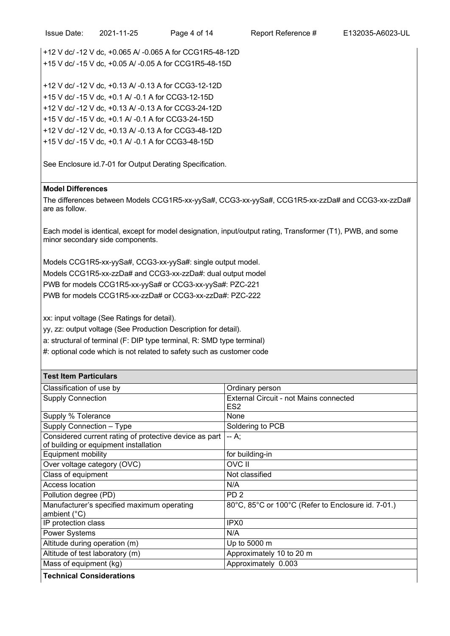+12 V dc/ -12 V dc, +0.13 A/ -0.13 A for CCG3-24-12D +15 V dc/ -15 V dc, +0.1 A/ -0.1 A for CCG3-24-15D +12 V dc/ -12 V dc, +0.13 A/ -0.13 A for CCG3-48-12D +15 V dc/ -15 V dc, +0.1 A/ -0.1 A for CCG3-48-15D

See Enclosure id.7-01 for Output Derating Specification.

## **Model Differences**

The differences between Models CCG1R5-xx-yySa#, CCG3-xx-yySa#, CCG1R5-xx-zzDa# and CCG3-xx-zzDa# are as follow.

Each model is identical, except for model designation, input/output rating, Transformer (T1), PWB, and some minor secondary side components.

Models CCG1R5-xx-yySa#, CCG3-xx-yySa#: single output model. Models CCG1R5-xx-zzDa# and CCG3-xx-zzDa#: dual output model PWB for models CCG1R5-xx-yySa# or CCG3-xx-yySa#: PZC-221 PWB for models CCG1R5-xx-zzDa# or CCG3-xx-zzDa#: PZC-222

xx: input voltage (See Ratings for detail).

yy, zz: output voltage (See Production Description for detail).

a: structural of terminal (F: DIP type terminal, R: SMD type terminal)

#: optional code which is not related to safety such as customer code

| <b>Test Item Particulars</b>                                                                    |                                                                  |
|-------------------------------------------------------------------------------------------------|------------------------------------------------------------------|
| Classification of use by                                                                        | Ordinary person                                                  |
| <b>Supply Connection</b>                                                                        | <b>External Circuit - not Mains connected</b><br>ES <sub>2</sub> |
| Supply % Tolerance                                                                              | None                                                             |
| Supply Connection - Type                                                                        | Soldering to PCB                                                 |
| Considered current rating of protective device as part<br>of building or equipment installation | -- A:                                                            |
| <b>Equipment mobility</b>                                                                       | for building-in                                                  |
| Over voltage category (OVC)                                                                     | <b>OVC II</b>                                                    |
| Class of equipment                                                                              | Not classified                                                   |
| Access location                                                                                 | N/A                                                              |
| Pollution degree (PD)                                                                           | PD <sub>2</sub>                                                  |
| Manufacturer's specified maximum operating<br>ambient (°C)                                      | 80°C, 85°C or 100°C (Refer to Enclosure id. 7-01.)               |
| IP protection class                                                                             | IPX <sub>0</sub>                                                 |
| <b>Power Systems</b>                                                                            | N/A                                                              |
| Altitude during operation (m)                                                                   | Up to 5000 m                                                     |
| Altitude of test laboratory (m)                                                                 | Approximately 10 to 20 m                                         |
| Mass of equipment (kg)                                                                          | Approximately 0.003                                              |
| <b>Technical Considerations</b>                                                                 |                                                                  |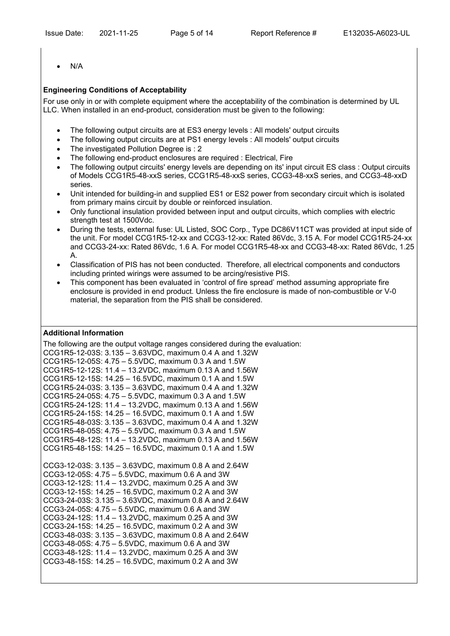· N/A

# **Engineering Conditions of Acceptability**

For use only in or with complete equipment where the acceptability of the combination is determined by UL LLC. When installed in an end-product, consideration must be given to the following:

- The following output circuits are at ES3 energy levels : All models' output circuits
- The following output circuits are at PS1 energy levels : All models' output circuits
- · The investigated Pollution Degree is : 2
- · The following end-product enclosures are required : Electrical, Fire
- The following output circuits' energy levels are depending on its' input circuit ES class : Output circuits of Models CCG1R5-48-xxS series, CCG1R5-48-xxS series, CCG3-48-xxS series, and CCG3-48-xxD series.
- · Unit intended for building-in and supplied ES1 or ES2 power from secondary circuit which is isolated from primary mains circuit by double or reinforced insulation.
- · Only functional insulation provided between input and output circuits, which complies with electric strength test at 1500Vdc.
- · During the tests, external fuse: UL Listed, SOC Corp., Type DC86V11CT was provided at input side of the unit. For model CCG1R5-12-xx and CCG3-12-xx: Rated 86Vdc, 3.15 A. For model CCG1R5-24-xx and CCG3-24-xx: Rated 86Vdc, 1.6 A. For model CCG1R5-48-xx and CCG3-48-xx: Rated 86Vdc, 1.25 A.
- · Classification of PIS has not been conducted. Therefore, all electrical components and conductors including printed wirings were assumed to be arcing/resistive PIS.
- · This component has been evaluated in 'control of fire spread' method assuming appropriate fire enclosure is provided in end product. Unless the fire enclosure is made of non-combustible or V-0 material, the separation from the PIS shall be considered.

## **Additional Information**

The following are the output voltage ranges considered during the evaluation: CCG1R5-12-03S: 3.135 – 3.63VDC, maximum 0.4 A and 1.32W CCG1R5-12-05S: 4.75 – 5.5VDC, maximum 0.3 A and 1.5W CCG1R5-12-12S: 11.4 – 13.2VDC, maximum 0.13 A and 1.56W CCG1R5-12-15S: 14.25 – 16.5VDC, maximum 0.1 A and 1.5W CCG1R5-24-03S: 3.135 – 3.63VDC, maximum 0.4 A and 1.32W CCG1R5-24-05S: 4.75 – 5.5VDC, maximum 0.3 A and 1.5W CCG1R5-24-12S: 11.4 – 13.2VDC, maximum 0.13 A and 1.56W CCG1R5-24-15S: 14.25 – 16.5VDC, maximum 0.1 A and 1.5W CCG1R5-48-03S: 3.135 – 3.63VDC, maximum 0.4 A and 1.32W CCG1R5-48-05S: 4.75 – 5.5VDC, maximum 0.3 A and 1.5W CCG1R5-48-12S: 11.4 – 13.2VDC, maximum 0.13 A and 1.56W CCG1R5-48-15S: 14.25 – 16.5VDC, maximum 0.1 A and 1.5W CCG3-12-03S: 3.135 – 3.63VDC, maximum 0.8 A and 2.64W CCG3-12-05S: 4.75 – 5.5VDC, maximum 0.6 A and 3W CCG3-12-12S: 11.4 – 13.2VDC, maximum 0.25 A and 3W CCG3-12-15S: 14.25 – 16.5VDC, maximum 0.2 A and 3W CCG3-24-03S: 3.135 – 3.63VDC, maximum 0.8 A and 2.64W CCG3-24-05S: 4.75 – 5.5VDC, maximum 0.6 A and 3W CCG3-24-12S: 11.4 – 13.2VDC, maximum 0.25 A and 3W CCG3-24-15S: 14.25 – 16.5VDC, maximum 0.2 A and 3W CCG3-48-03S: 3.135 – 3.63VDC, maximum 0.8 A and 2.64W CCG3-48-05S: 4.75 – 5.5VDC, maximum 0.6 A and 3W CCG3-48-12S: 11.4 – 13.2VDC, maximum 0.25 A and 3W CCG3-48-15S: 14.25 – 16.5VDC, maximum 0.2 A and 3W